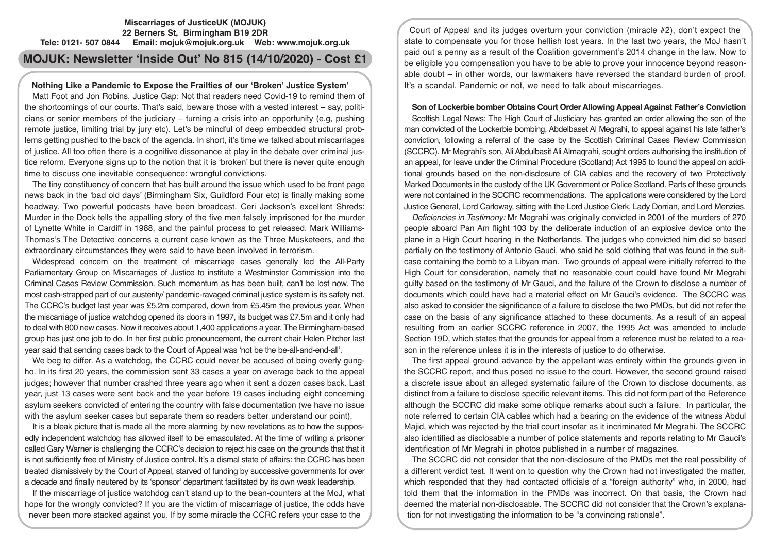## **Miscarriages of JusticeUK (MOJUK) 22 Berners St, Birmingham B19 2DR Tele: 0121- 507 0844 Email: mojuk@mojuk.org.uk Web: www.mojuk.org.uk**

# **MOJUK: Newsletter 'Inside Out' No 815 (14/10/2020) - Cost £1**

## **Nothing Like a Pandemic to Expose the Frailties of our 'Broken' Justice System'**

Matt Foot and Jon Robins, Justice Gap: Not that readers need Covid-19 to remind them of the shortcomings of our courts. That's said, beware those with a vested interest – say, politicians or senior members of the judiciary – turning a crisis into an opportunity (e.g, pushing remote justice, limiting trial by jury etc). Let's be mindful of deep embedded structural problems getting pushed to the back of the agenda. In short, it's time we talked about miscarriages of justice. All too often there is a cognitive dissonance at play in the debate over criminal justice reform. Everyone signs up to the notion that it is 'broken' but there is never quite enough time to discuss one inevitable consequence: wrongful convictions.

The tiny constituency of concern that has built around the issue which used to be front page news back in the 'bad old days' (Birmingham Six, Guildford Four etc) is finally making some headway. Two powerful podcasts have been broadcast. Ceri Jackson's excellent Shreds: Murder in the Dock tells the appalling story of the five men falsely imprisoned for the murder of Lynette White in Cardiff in 1988, and the painful process to get released. Mark Williams-Thomas's The Detective concerns a current case known as the Three Musketeers, and the extraordinary circumstances they were said to have been involved in terrorism.

Widespread concern on the treatment of miscarriage cases generally led the All-Party Parliamentary Group on Miscarriages of Justice to institute a Westminster Commission into the Criminal Cases Review Commission. Such momentum as has been built, can't be lost now. The most cash-strapped part of our austerity/ pandemic-ravaged criminal justice system is its safety net. The CCRC's budget last year was £5.2m compared, down from £5.45m the previous year. When the miscarriage of justice watchdog opened its doors in 1997, its budget was £7.5m and it only had to deal with 800 new cases. Now it receives about 1,400 applications a year. The Birmingham-based group has just one job to do. In her first public pronouncement, the current chair Helen Pitcher last year said that sending cases back to the Court of Appeal was 'not be the be-all-and-end-all'.

We beg to differ. As a watchdog, the CCRC could never be accused of being overly gungho. In its first 20 years, the commission sent 33 cases a year on average back to the appeal judges; however that number crashed three years ago when it sent a dozen cases back. Last year, just 13 cases were sent back and the year before 19 cases including eight concerning asylum seekers convicted of entering the country with false documentation (we have no issue with the asylum seeker cases but separate them so readers better understand our point).

It is a bleak picture that is made all the more alarming by new revelations as to how the supposedly independent watchdog has allowed itself to be emasculated. At the time of writing a prisoner called Gary Warner is challenging the CCRC's decision to reject his case on the grounds that that it is not sufficiently free of Ministry of Justice control. It's a dismal state of affairs: the CCRC has been treated dismissively by the Court of Appeal, starved of funding by successive governments for over a decade and finally neutered by its 'sponsor' department facilitated by its own weak leadership.

If the miscarriage of justice watchdog can't stand up to the bean-counters at the MoJ, what hope for the wrongly convicted? If you are the victim of miscarriage of justice, the odds have never been more stacked against you. If by some miracle the CCRC refers your case to the

Court of Appeal and its judges overturn your conviction (miracle #2), don't expect the state to compensate you for those hellish lost years. In the last two years, the MoJ hasn't paid out a penny as a result of the Coalition government's 2014 change in the law. Now to be eligible you compensation you have to be able to prove your innocence beyond reasonable doubt – in other words, our lawmakers have reversed the standard burden of proof. It's a scandal. Pandemic or not, we need to talk about miscarriages.

## **Son of Lockerbie bomber Obtains Court Order Allowing Appeal Against Father's Conviction**

Scottish Legal News: The High Court of Justiciary has granted an order allowing the son of the man convicted of the Lockerbie bombing, Abdelbaset Al Megrahi, to appeal against his late father's conviction, following a referral of the case by the Scottish Criminal Cases Review Commission (SCCRC). Mr Megrahi's son, Ali Abdulbasit Ali Almaqrahi, sought orders authorising the institution of an appeal, for leave under the Criminal Procedure (Scotland) Act 1995 to found the appeal on additional grounds based on the non-disclosure of CIA cables and the recovery of two Protectively Marked Documents in the custody of the UK Government or Police Scotland. Parts of these grounds were not contained in the SCCRC recommendations. The applications were considered by the Lord Justice General, Lord Carloway, sitting with the Lord Justice Clerk, Lady Dorrian, and Lord Menzies.

*Deficiencies in Testimony:* Mr Megrahi was originally convicted in 2001 of the murders of 270 people aboard Pan Am flight 103 by the deliberate induction of an explosive device onto the plane in a High Court hearing in the Netherlands. The judges who convicted him did so based partially on the testimony of Antonio Gauci, who said he sold clothing that was found in the suitcase containing the bomb to a Libyan man. Two grounds of appeal were initially referred to the High Court for consideration, namely that no reasonable court could have found Mr Megrahi guilty based on the testimony of Mr Gauci, and the failure of the Crown to disclose a number of documents which could have had a material effect on Mr Gauci's evidence. The SCCRC was also asked to consider the significance of a failure to disclose the two PMDs, but did not refer the case on the basis of any significance attached to these documents. As a result of an appeal resulting from an earlier SCCRC reference in 2007, the 1995 Act was amended to include Section 19D, which states that the grounds for appeal from a reference must be related to a reason in the reference unless it is in the interests of justice to do otherwise.

The first appeal ground advance by the appellant was entirely within the grounds given in the SCCRC report, and thus posed no issue to the court. However, the second ground raised a discrete issue about an alleged systematic failure of the Crown to disclose documents, as distinct from a failure to disclose specific relevant items. This did not form part of the Reference although the SCCRC did make some oblique remarks about such a failure. In particular, the note referred to certain CIA cables which had a bearing on the evidence of the witness Abdul Majid, which was rejected by the trial court insofar as it incriminated Mr Megrahi. The SCCRC also identified as disclosable a number of police statements and reports relating to Mr Gauci's identification of Mr Megrahi in photos published in a number of magazines.

The SCCRC did not consider that the non-disclosure of the PMDs met the real possibility of a different verdict test. It went on to question why the Crown had not investigated the matter, which responded that they had contacted officials of a "foreign authority" who, in 2000, had told them that the information in the PMDs was incorrect. On that basis, the Crown had deemed the material non-disclosable. The SCCRC did not consider that the Crown's explanation for not investigating the information to be "a convincing rationale".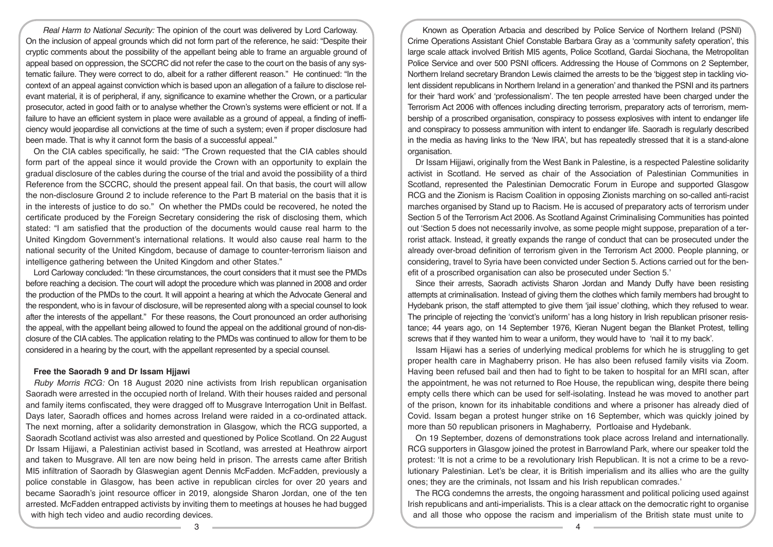*Real Harm to National Security:* The opinion of the court was delivered by Lord Carloway. On the inclusion of appeal grounds which did not form part of the reference, he said: "Despite their cryptic comments about the possibility of the appellant being able to frame an arguable ground of appeal based on oppression, the SCCRC did not refer the case to the court on the basis of any systematic failure. They were correct to do, albeit for a rather different reason." He continued: "In the context of an appeal against conviction which is based upon an allegation of a failure to disclose relevant material, it is of peripheral, if any, significance to examine whether the Crown, or a particular prosecutor, acted in good faith or to analyse whether the Crown's systems were efficient or not. If a failure to have an efficient system in place were available as a ground of appeal, a finding of inefficiency would jeopardise all convictions at the time of such a system; even if proper disclosure had been made. That is why it cannot form the basis of a successful appeal."

On the CIA cables specifically, he said: "The Crown requested that the CIA cables should form part of the appeal since it would provide the Crown with an opportunity to explain the gradual disclosure of the cables during the course of the trial and avoid the possibility of a third Reference from the SCCRC, should the present appeal fail. On that basis, the court will allow the non-disclosure Ground 2 to include reference to the Part B material on the basis that it is in the interests of justice to do so." On whether the PMDs could be recovered, he noted the certificate produced by the Foreign Secretary considering the risk of disclosing them, which stated: "I am satisfied that the production of the documents would cause real harm to the United Kingdom Government's international relations. It would also cause real harm to the national security of the United Kingdom, because of damage to counter-terrorism liaison and intelligence gathering between the United Kingdom and other States."

Lord Carloway concluded: "In these circumstances, the court considers that it must see the PMDs before reaching a decision. The court will adopt the procedure which was planned in 2008 and order the production of the PMDs to the court. It will appoint a hearing at which the Advocate General and the respondent, who is in favour of disclosure, will be represented along with a special counsel to look after the interests of the appellant." For these reasons, the Court pronounced an order authorising the appeal, with the appellant being allowed to found the appeal on the additional ground of non-disclosure of the CIA cables. The application relating to the PMDs was continued to allow for them to be considered in a hearing by the court, with the appellant represented by a special counsel.

## **Free the Saoradh 9 and Dr Issam Hjjawi**

*Ruby Morris RCG:* On 18 August 2020 nine activists from Irish republican organisation Saoradh were arrested in the occupied north of Ireland. With their houses raided and personal and family items confiscated, they were dragged off to Musgrave Interrogation Unit in Belfast. Days later, Saoradh offices and homes across Ireland were raided in a co-ordinated attack. The next morning, after a solidarity demonstration in Glasgow, which the RCG supported, a Saoradh Scotland activist was also arrested and questioned by Police Scotland. On 22 August Dr Issam Hijjawi, a Palestinian activist based in Scotland, was arrested at Heathrow airport and taken to Musgrave. All ten are now being held in prison. The arrests came after British MI5 infiltration of Saoradh by Glaswegian agent Dennis McFadden. McFadden, previously a police constable in Glasgow, has been active in republican circles for over 20 years and became Saoradh's joint resource officer in 2019, alongside Sharon Jordan, one of the ten arrested. McFadden entrapped activists by inviting them to meetings at houses he had bugged with high tech video and audio recording devices.

Known as Operation Arbacia and described by Police Service of Northern Ireland (PSNI) Crime Operations Assistant Chief Constable Barbara Gray as a 'community safety operation', this large scale attack involved British MI5 agents, Police Scotland, Gardai Siochana, the Metropolitan Police Service and over 500 PSNI officers. Addressing the House of Commons on 2 September, Northern Ireland secretary Brandon Lewis claimed the arrests to be the 'biggest step in tackling violent dissident republicans in Northern Ireland in a generation' and thanked the PSNI and its partners for their 'hard work' and 'professionalism'. The ten people arrested have been charged under the Terrorism Act 2006 with offences including directing terrorism, preparatory acts of terrorism, membership of a proscribed organisation, conspiracy to possess explosives with intent to endanger life and conspiracy to possess ammunition with intent to endanger life. Saoradh is regularly described in the media as having links to the 'New IRA', but has repeatedly stressed that it is a stand-alone organisation.

Dr Issam Hijjawi, originally from the West Bank in Palestine, is a respected Palestine solidarity activist in Scotland. He served as chair of the Association of Palestinian Communities in Scotland, represented the Palestinian Democratic Forum in Europe and supported Glasgow RCG and the Zionism is Racism Coalition in opposing Zionists marching on so-called anti-racist marches organised by Stand up to Racism. He is accused of preparatory acts of terrorism under Section 5 of the Terrorism Act 2006. As Scotland Against Criminalising Communities has pointed out 'Section 5 does not necessarily involve, as some people might suppose, preparation of a terrorist attack. Instead, it greatly expands the range of conduct that can be prosecuted under the already over-broad definition of terrorism given in the Terrorism Act 2000. People planning, or considering, travel to Syria have been convicted under Section 5. Actions carried out for the benefit of a proscribed organisation can also be prosecuted under Section 5.'

Since their arrests, Saoradh activists Sharon Jordan and Mandy Duffy have been resisting attempts at criminalisation. Instead of giving them the clothes which family members had brought to Hydebank prison, the staff attempted to give them 'jail issue' clothing, which they refused to wear. The principle of rejecting the 'convict's uniform' has a long history in Irish republican prisoner resistance; 44 years ago, on 14 September 1976, Kieran Nugent began the Blanket Protest, telling screws that if they wanted him to wear a uniform, they would have to 'nail it to my back'.

Issam Hijawi has a series of underlying medical problems for which he is struggling to get proper health care in Maghaberry prison. He has also been refused family visits via Zoom. Having been refused bail and then had to fight to be taken to hospital for an MRI scan, after the appointment, he was not returned to Roe House, the republican wing, despite there being empty cells there which can be used for self-isolating. Instead he was moved to another part of the prison, known for its inhabitable conditions and where a prisoner has already died of Covid. Issam began a protest hunger strike on 16 September, which was quickly joined by more than 50 republican prisoners in Maghaberry, Portloaise and Hydebank.

On 19 September, dozens of demonstrations took place across Ireland and internationally. RCG supporters in Glasgow joined the protest in Barrowland Park, where our speaker told the protest: 'It is not a crime to be a revolutionary Irish Republican. It is not a crime to be a revolutionary Palestinian. Let's be clear, it is British imperialism and its allies who are the guilty ones; they are the criminals, not Issam and his Irish republican comrades.'

The RCG condemns the arrests, the ongoing harassment and political policing used against Irish republicans and anti-imperialists. This is a clear attack on the democratic right to organise and all those who oppose the racism and imperialism of the British state must unite to

 $\overline{3}$   $\overline{4}$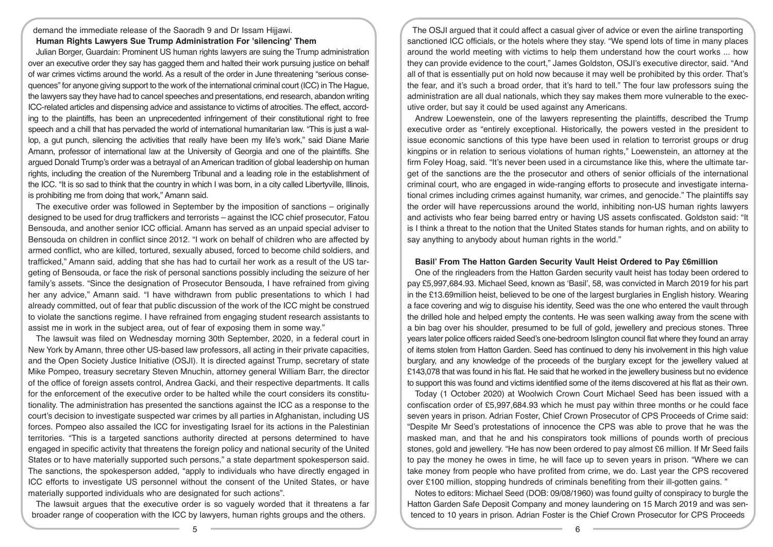demand the immediate release of the Saoradh 9 and Dr Issam Hijjawi. **Human Rights Lawyers Sue Trump Administration For 'silencing' Them** 

Julian Borger, Guardain: Prominent US human rights lawyers are suing the Trump administration over an executive order they say has gagged them and halted their work pursuing justice on behalf of war crimes victims around the world. As a result of the order in June threatening "serious consequences" for anyone giving support to the work of the international criminal court (ICC) in The Hague, the lawyers say they have had to cancel speeches and presentations, end research, abandon writing ICC-related articles and dispensing advice and assistance to victims of atrocities. The effect, according to the plaintiffs, has been an unprecedented infringement of their constitutional right to free speech and a chill that has pervaded the world of international humanitarian law. "This is just a wallop, a gut punch, silencing the activities that really have been my life's work," said Diane Marie Amann, professor of international law at the University of Georgia and one of the plaintiffs. She argued Donald Trump's order was a betrayal of an American tradition of global leadership on human rights, including the creation of the Nuremberg Tribunal and a leading role in the establishment of the ICC. "It is so sad to think that the country in which I was born, in a city called Libertyville, Illinois, is prohibiting me from doing that work," Amann said.

The executive order was followed in September by the imposition of sanctions – originally designed to be used for drug traffickers and terrorists – against the ICC chief prosecutor, Fatou Bensouda, and another senior ICC official. Amann has served as an unpaid special adviser to Bensouda on children in conflict since 2012. "I work on behalf of children who are affected by armed conflict, who are killed, tortured, sexually abused, forced to become child soldiers, and trafficked," Amann said, adding that she has had to curtail her work as a result of the US targeting of Bensouda, or face the risk of personal sanctions possibly including the seizure of her family's assets. "Since the designation of Prosecutor Bensouda, I have refrained from giving her any advice," Amann said. "I have withdrawn from public presentations to which I had already committed, out of fear that public discussion of the work of the ICC might be construed to violate the sanctions regime. I have refrained from engaging student research assistants to assist me in work in the subject area, out of fear of exposing them in some way."

The lawsuit was filed on Wednesday morning 30th September, 2020, in a federal court in New York by Amann, three other US-based law professors, all acting in their private capacities, and the Open Society Justice Initiative (OSJI). It is directed against Trump, secretary of state Mike Pompeo, treasury secretary Steven Mnuchin, attorney general William Barr, the director of the office of foreign assets control, Andrea Gacki, and their respective departments. It calls for the enforcement of the executive order to be halted while the court considers its constitutionality. The administration has presented the sanctions against the ICC as a response to the court's decision to investigate suspected war crimes by all parties in Afghanistan, including US forces. Pompeo also assailed the ICC for investigating Israel for its actions in the Palestinian territories. "This is a targeted sanctions authority directed at persons determined to have engaged in specific activity that threatens the foreign policy and national security of the United States or to have materially supported such persons," a state department spokesperson said. The sanctions, the spokesperson added, "apply to individuals who have directly engaged in ICC efforts to investigate US personnel without the consent of the United States, or have materially supported individuals who are designated for such actions".

The lawsuit argues that the executive order is so vaguely worded that it threatens a far broader range of cooperation with the ICC by lawyers, human rights groups and the others.

The OSJI argued that it could affect a casual giver of advice or even the airline transporting sanctioned ICC officials, or the hotels where they stay. "We spend lots of time in many places around the world meeting with victims to help them understand how the court works ... how they can provide evidence to the court," James Goldston, OSJI's executive director, said. "And all of that is essentially put on hold now because it may well be prohibited by this order. That's the fear, and it's such a broad order, that it's hard to tell." The four law professors suing the administration are all dual nationals, which they say makes them more vulnerable to the executive order, but say it could be used against any Americans.

Andrew Loewenstein, one of the lawyers representing the plaintiffs, described the Trump executive order as "entirely exceptional. Historically, the powers vested in the president to issue economic sanctions of this type have been used in relation to terrorist groups or drug kingpins or in relation to serious violations of human rights," Loewenstein, an attorney at the firm Foley Hoag, said. "It's never been used in a circumstance like this, where the ultimate target of the sanctions are the the prosecutor and others of senior officials of the international criminal court, who are engaged in wide-ranging efforts to prosecute and investigate international crimes including crimes against humanity, war crimes, and genocide." The plaintiffs say the order will have repercussions around the world, inhibiting non-US human rights lawyers and activists who fear being barred entry or having US assets confiscated. Goldston said: "It is I think a threat to the notion that the United States stands for human rights, and on ability to say anything to anybody about human rights in the world."

# **Basil' From The Hatton Garden Security Vault Heist Ordered to Pay £6million**

One of the ringleaders from the Hatton Garden security vault heist has today been ordered to pay £5,997,684.93. Michael Seed, known as 'Basil', 58, was convicted in March 2019 for his part in the £13.69million heist, believed to be one of the largest burglaries in English history. Wearing a face covering and wig to disguise his identity, Seed was the one who entered the vault through the drilled hole and helped empty the contents. He was seen walking away from the scene with a bin bag over his shoulder, presumed to be full of gold, jewellery and precious stones. Three years later police officers raided Seed's one-bedroom Islington council flat where they found an array of items stolen from Hatton Garden. Seed has continued to deny his involvement in this high value burglary, and any knowledge of the proceeds of the burglary except for the jewellery valued at £143,078 that was found in his flat. He said that he worked in the jewellery business but no evidence to support this was found and victims identified some of the items discovered at his flat as their own.

Today (1 October 2020) at Woolwich Crown Court Michael Seed has been issued with a confiscation order of £5,997,684.93 which he must pay within three months or he could face seven years in prison. Adrian Foster, Chief Crown Prosecutor of CPS Proceeds of Crime said: "Despite Mr Seed's protestations of innocence the CPS was able to prove that he was the masked man, and that he and his conspirators took millions of pounds worth of precious stones, gold and jewellery. "He has now been ordered to pay almost £6 million. If Mr Seed fails to pay the money he owes in time, he will face up to seven years in prison. "Where we can take money from people who have profited from crime, we do. Last year the CPS recovered over £100 million, stopping hundreds of criminals benefiting from their ill-gotten gains. "

Notes to editors: Michael Seed (DOB: 09/08/1960) was found guilty of conspiracy to burgle the Hatton Garden Safe Deposit Company and money laundering on 15 March 2019 and was sentenced to 10 years in prison. Adrian Foster is the Chief Crown Prosecutor for CPS Proceeds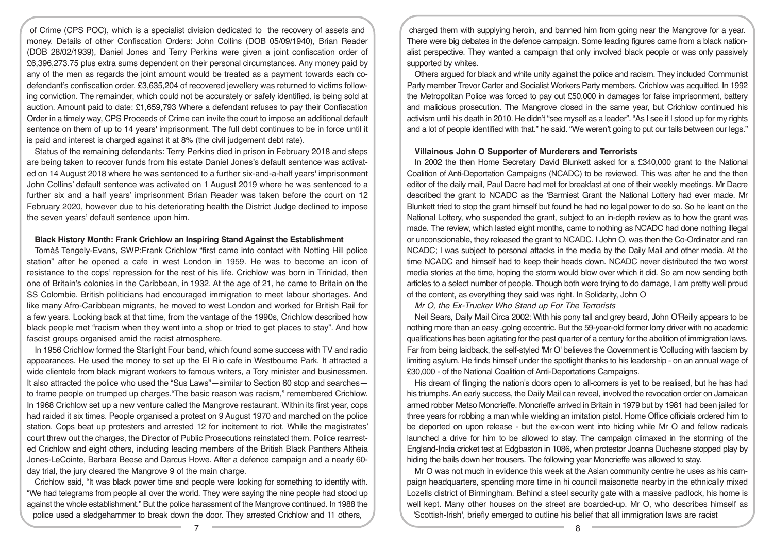of Crime (CPS POC), which is a specialist division dedicated to the recovery of assets and money. Details of other Confiscation Orders: John Collins (DOB 05/09/1940), Brian Reader (DOB 28/02/1939), Daniel Jones and Terry Perkins were given a joint confiscation order of £6,396,273.75 plus extra sums dependent on their personal circumstances. Any money paid by any of the men as regards the joint amount would be treated as a payment towards each codefendant's confiscation order. £3,635,204 of recovered jewellery was returned to victims following conviction. The remainder, which could not be accurately or safely identified, is being sold at auction. Amount paid to date: £1,659,793 Where a defendant refuses to pay their Confiscation Order in a timely way, CPS Proceeds of Crime can invite the court to impose an additional default sentence on them of up to 14 years' imprisonment. The full debt continues to be in force until it is paid and interest is charged against it at 8% (the civil judgement debt rate).

Status of the remaining defendants: Terry Perkins died in prison in February 2018 and steps are being taken to recover funds from his estate Daniel Jones's default sentence was activated on 14 August 2018 where he was sentenced to a further six-and-a-half years' imprisonment John Collins' default sentence was activated on 1 August 2019 where he was sentenced to a further six and a half years' imprisonment Brian Reader was taken before the court on 12 February 2020, however due to his deteriorating health the District Judge declined to impose the seven years' default sentence upon him.

#### **Black History Month: Frank Crichlow an Inspiring Stand Against the Establishment**

Tomáš Tengely-Evans, SWP:Frank Crichlow "first came into contact with Notting Hill police station" after he opened a cafe in west London in 1959. He was to become an icon of resistance to the cops' repression for the rest of his life. Crichlow was born in Trinidad, then one of Britain's colonies in the Caribbean, in 1932. At the age of 21, he came to Britain on the SS Colombie. British politicians had encouraged immigration to meet labour shortages. And like many Afro-Caribbean migrants, he moved to west London and worked for British Rail for a few years. Looking back at that time, from the vantage of the 1990s, Crichlow described how black people met "racism when they went into a shop or tried to get places to stay". And how fascist groups organised amid the racist atmosphere.

In 1956 Crichlow formed the Starlight Four band, which found some success with TV and radio appearances. He used the money to set up the El Rio cafe in Westbourne Park. It attracted a wide clientele from black migrant workers to famous writers, a Tory minister and businessmen. It also attracted the police who used the "Sus Laws"—similar to Section 60 stop and searches to frame people on trumped up charges."The basic reason was racism," remembered Crichlow. In 1968 Crichlow set up a new venture called the Mangrove restaurant. Within its first year, cops had raided it six times. People organised a protest on 9 August 1970 and marched on the police station. Cops beat up protesters and arrested 12 for incitement to riot. While the magistrates' court threw out the charges, the Director of Public Prosecutions reinstated them. Police rearrested Crichlow and eight others, including leading members of the British Black Panthers Altheia Jones-LeCointe, Barbara Beese and Darcus Howe. After a defence campaign and a nearly 60 day trial, the jury cleared the Mangrove 9 of the main charge.

Crichlow said, "It was black power time and people were looking for something to identify with. "We had telegrams from people all over the world. They were saying the nine people had stood up against the whole establishment." But the police harassment of the Mangrove continued. In 1988 the police used a sledgehammer to break down the door. They arrested Crichlow and 11 others,

charged them with supplying heroin, and banned him from going near the Mangrove for a year. There were big debates in the defence campaign. Some leading figures came from a black nationalist perspective. They wanted a campaign that only involved black people or was only passively supported by whites.

Others argued for black and white unity against the police and racism. They included Communist Party member Trevor Carter and Socialist Workers Party members. Crichlow was acquitted. In 1992 the Metropolitan Police was forced to pay out £50,000 in damages for false imprisonment, battery and malicious prosecution. The Mangrove closed in the same year, but Crichlow continued his activism until his death in 2010. He didn't "see myself as a leader". "As I see it I stood up for my rights and a lot of people identified with that." he said. "We weren't going to put our tails between our legs."

#### **Villainous John O Supporter of Murderers and Terrorists**

In 2002 the then Home Secretary David Blunkett asked for a £340,000 grant to the National Coalition of Anti-Deportation Campaigns (NCADC) to be reviewed. This was after he and the then editor of the daily mail, Paul Dacre had met for breakfast at one of their weekly meetings. Mr Dacre described the grant to NCADC as the 'Barmiest Grant the National Lottery had ever made. Mr Blunkett tried to stop the grant himself but found he had no legal power to do so. So he leant on the National Lottery, who suspended the grant, subject to an in-depth review as to how the grant was made. The review, which lasted eight months, came to nothing as NCADC had done nothing illegal or unconscionable, they released the grant to NCADC. I John O, was then the Co-Ordinator and ran NCADC; I was subject to personal attacks in the media by the Daily Mail and other media. At the time NCADC and himself had to keep their heads down. NCADC never distributed the two worst media stories at the time, hoping the storm would blow over which it did. So am now sending both articles to a select number of people. Though both were trying to do damage, I am pretty well proud of the content, as everything they said was right. In Solidarity, John O

*Mr O, the Ex-Trucker Who Stand up For The Terrorists* 

Neil Sears, Daily Mail Circa 2002: With his pony tall and grey beard, John O'Reilly appears to be nothing more than an easy .golng eccentric. But the 59-year-old former lorry driver with no academic qualifications has been agitating for the past quarter of a century for the abolition of immigration laws. Far from being laidback, the self-styled 'Mr O' believes the Government is 'Colluding with fascism by limiting asylum. He finds himself under the spotlight thanks to his leadership - on an annual wage of £30,000 - of the National Coalition of Anti-Deportations Campaigns.

His dream of flinging the nation's doors open to all-comers is yet to be realised, but he has had his triumphs. An early success, the Daily Mail can reveal, involved the revocation order on Jamaican armed robber Metso Moncrieffe. Moncrieffe arrived in Britain in 1979 but by 1981 had been jailed for three years for robbing a man while wielding an imitation pistol. Home Office officials ordered him to be deported on upon release - but the ex-con went into hiding while Mr O and fellow radicals launched a drive for him to be allowed to stay. The campaign climaxed in the storming of the England-India cricket test at Edgbaston in 1086, when protestor Joanna Duchesne stopped play by hiding the bails down her trousers. The following year Moncrieffe was allowed to stay.

Mr O was not much in evidence this week at the Asian community centre he uses as his campaign headquarters, spending more time in hi council maisonette nearby in the ethnically mixed Lozells district of Birmingham. Behind a steel security gate with a massive padlock, his home is well kept. Many other houses on the street are boarded-up. Mr O, who describes himself as 'Scottish-Irish', briefly emerged to outline his belief that all immigration laws are racist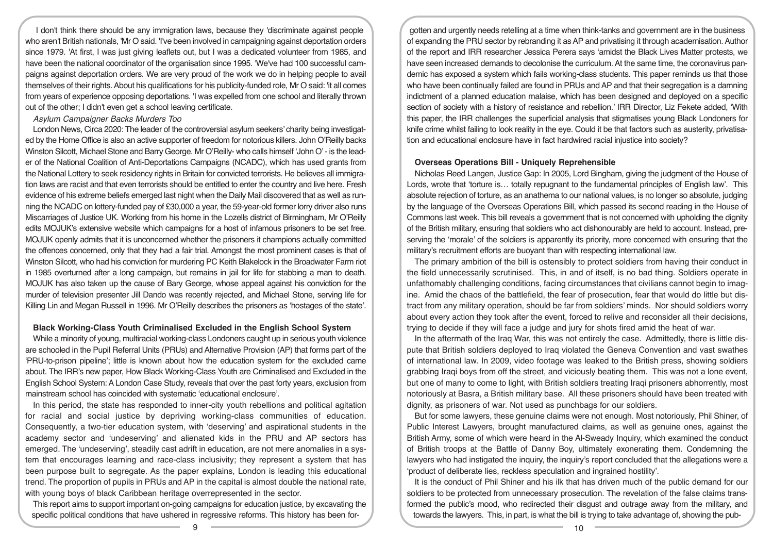I don't think there should be any immigration laws, because they 'discriminate against people who aren't British nationals, 'Mr O said. 'I've been involved in campaigning against deportation orders since 1979. 'At first, I was just giving leaflets out, but I was a dedicated volunteer from 1985, and have been the national coordinator of the organisation since 1995. 'We've had 100 successful campaigns against deportation orders. We are very proud of the work we do in helping people to avail themselves of their rights. About his qualifications for his publicity-funded role, Mr O said: 'it all comes from years of experience opposing deportations. 'I was expelled from one school and literally thrown out of the other; I didn't even get a school leaving certificate.

#### *Asylum Campaigner Backs Murders Too*

London News, Circa 2020: The leader of the controversial asylum seekers' charity being investigated by the Home Office is also an active supporter of freedom for notorious killers. John O'Reilly backs Winston Silcott, Michael Stone and Barry George. Mr O'Reilly- who calls himself 'John O' - is the leader of the National Coalition of Anti-Deportations Campaigns (NCADC), which has used grants from the National Lottery to seek residency rights in Britain for convicted terrorists. He believes all immigration laws are racist and that even terrorists should be entitled to enter the country and live here. Fresh evidence of his extreme beliefs emerged last night when the Daily Mail discovered that as well as running the NCADC on lottery-funded pay of £30,000 a year, the 59-year-old former lorry driver also runs Miscarriages of Justice UK. Working from his home in the Lozells district of Birmingham, Mr O'Reilly edits MOJUK's extensive website which campaigns for a host of infamous prisoners to be set free. MOJUK openly admits that it is unconcerned whether the prisoners it champions actually committed the offences concerned, only that they had a fair trial. Amongst the most prominent cases is that of Winston Silcott, who had his conviction for murdering PC Keith Blakelock in the Broadwater Farm riot in 1985 overturned after a long campaign, but remains in jail for life for stabbing a man to death. MOJUK has also taken up the cause of Bary George, whose appeal against his conviction for the murder of television presenter Jill Dando was recently rejected, and Michael Stone, serving life for Killing Lin and Megan Russell in 1996. Mr O'Reilly describes the prisoners as 'hostages of the state'.

#### **Black Working-Class Youth Criminalised Excluded in the English School System**

While a minority of young, multiracial working-class Londoners caught up in serious youth violence are schooled in the Pupil Referral Units (PRUs) and Alternative Provision (AP) that forms part of the 'PRU-to-prison pipeline'; little is known about how the education system for the excluded came about. The IRR's new paper, How Black Working-Class Youth are Criminalised and Excluded in the English School System: A London Case Study, reveals that over the past forty years, exclusion from mainstream school has coincided with systematic 'educational enclosure'.

In this period, the state has responded to inner-city youth rebellions and political agitation for racial and social justice by depriving working-class communities of education. Consequently, a two-tier education system, with 'deserving' and aspirational students in the academy sector and 'undeserving' and alienated kids in the PRU and AP sectors has emerged. The 'undeserving', steadily cast adrift in education, are not mere anomalies in a system that encourages learning and race-class inclusivity; they represent a system that has been purpose built to segregate. As the paper explains, London is leading this educational trend. The proportion of pupils in PRUs and AP in the capital is almost double the national rate, with young boys of black Caribbean heritage overrepresented in the sector.

This report aims to support important on-going campaigns for education justice, by excavating the specific political conditions that have ushered in regressive reforms. This history has been for-

gotten and urgently needs retelling at a time when think-tanks and government are in the business of expanding the PRU sector by rebranding it as AP and privatising it through academisation. Author of the report and IRR researcher Jessica Perera says 'amidst the Black Lives Matter protests, we have seen increased demands to decolonise the curriculum. At the same time, the coronavirus pandemic has exposed a system which fails working-class students. This paper reminds us that those who have been continually failed are found in PRUs and AP and that their segregation is a damning indictment of a planned education malaise, which has been designed and deployed on a specific section of society with a history of resistance and rebellion.' IRR Director, Liz Fekete added, 'With this paper, the IRR challenges the superficial analysis that stigmatises young Black Londoners for knife crime whilst failing to look reality in the eye. Could it be that factors such as austerity, privatisation and educational enclosure have in fact hardwired racial injustice into society?

#### **Overseas Operations Bill - Uniquely Reprehensible**

Nicholas Reed Langen, Justice Gap: In 2005, Lord Bingham, giving the judgment of the House of Lords, wrote that 'torture is... totally repugnant to the fundamental principles of English law'. This absolute rejection of torture, as an anathema to our national values, is no longer so absolute, judging by the language of the Overseas Operations Bill, which passed its second reading in the House of Commons last week. This bill reveals a government that is not concerned with upholding the dignity of the British military, ensuring that soldiers who act dishonourably are held to account. Instead, preserving the 'morale' of the soldiers is apparently its priority, more concerned with ensuring that the military's recruitment efforts are buoyant than with respecting international law.

The primary ambition of the bill is ostensibly to protect soldiers from having their conduct in the field unnecessarily scrutinised. This, in and of itself, is no bad thing. Soldiers operate in unfathomably challenging conditions, facing circumstances that civilians cannot begin to imagine. Amid the chaos of the battlefield, the fear of prosecution, fear that would do little but distract from any military operation, should be far from soldiers' minds. Nor should soldiers worry about every action they took after the event, forced to relive and reconsider all their decisions, trying to decide if they will face a judge and jury for shots fired amid the heat of war.

In the aftermath of the Iraq War, this was not entirely the case. Admittedly, there is little dispute that British soldiers deployed to Iraq violated the Geneva Convention and vast swathes of international law. In 2009, video footage was leaked to the British press, showing soldiers grabbing Iraqi boys from off the street, and viciously beating them. This was not a lone event, but one of many to come to light, with British soldiers treating Iraqi prisoners abhorrently, most notoriously at Basra, a British military base. All these prisoners should have been treated with dignity, as prisoners of war. Not used as punchbags for our soldiers.

But for some lawyers, these genuine claims were not enough. Most notoriously, Phil Shiner, of Public Interest Lawyers, brought manufactured claims, as well as genuine ones, against the British Army, some of which were heard in the Al-Sweady Inquiry, which examined the conduct of British troops at the Battle of Danny Boy, ultimately exonerating them. Condemning the lawyers who had instigated the inquiry, the inquiry's report concluded that the allegations were a 'product of deliberate lies, reckless speculation and ingrained hostility'.

It is the conduct of Phil Shiner and his ilk that has driven much of the public demand for our soldiers to be protected from unnecessary prosecution. The revelation of the false claims transformed the public's mood, who redirected their disgust and outrage away from the military, and towards the lawyers. This, in part, is what the bill is trying to take advantage of, showing the pub-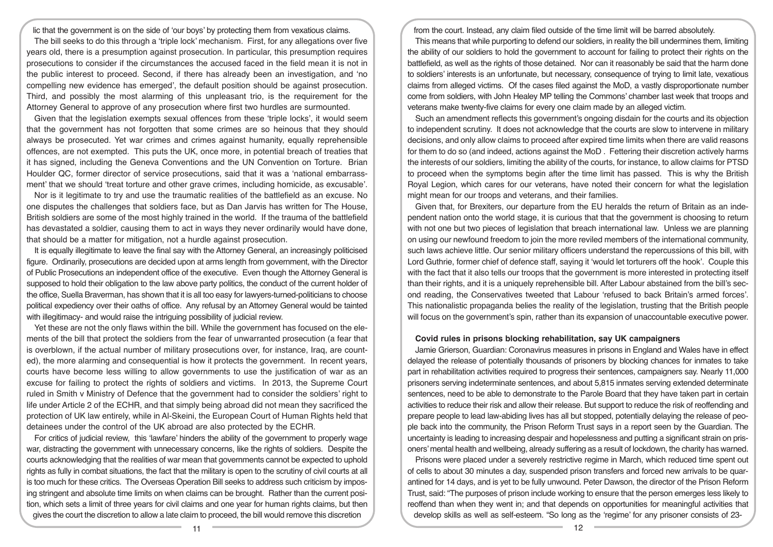lic that the government is on the side of 'our boys' by protecting them from vexatious claims. The bill seeks to do this through a 'triple lock' mechanism. First, for any allegations over five years old, there is a presumption against prosecution. In particular, this presumption requires prosecutions to consider if the circumstances the accused faced in the field mean it is not in the public interest to proceed. Second, if there has already been an investigation, and 'no compelling new evidence has emerged', the default position should be against prosecution. Third, and possibly the most alarming of this unpleasant trio, is the requirement for the Attorney General to approve of any prosecution where first two hurdles are surmounted.

Given that the legislation exempts sexual offences from these 'triple locks', it would seem that the government has not forgotten that some crimes are so heinous that they should always be prosecuted. Yet war crimes and crimes against humanity, equally reprehensible offences, are not exempted. This puts the UK, once more, in potential breach of treaties that it has signed, including the Geneva Conventions and the UN Convention on Torture. Brian Houlder QC, former director of service prosecutions, said that it was a 'national embarrassment' that we should 'treat torture and other grave crimes, including homicide, as excusable'.

Nor is it legitimate to try and use the traumatic realities of the battlefield as an excuse. No one disputes the challenges that soldiers face, but as Dan Jarvis has written for The House, British soldiers are some of the most highly trained in the world. If the trauma of the battlefield has devastated a soldier, causing them to act in ways they never ordinarily would have done, that should be a matter for mitigation, not a hurdle against prosecution.

It is equally illegitimate to leave the final say with the Attorney General, an increasingly politicised figure. Ordinarily, prosecutions are decided upon at arms length from government, with the Director of Public Prosecutions an independent office of the executive. Even though the Attorney General is supposed to hold their obligation to the law above party politics, the conduct of the current holder of the office, Suella Braverman, has shown that it is all too easy for lawyers-turned-politicians to choose political expediency over their oaths of office. Any refusal by an Attorney General would be tainted with illegitimacy- and would raise the intriguing possibility of judicial review.

Yet these are not the only flaws within the bill. While the government has focused on the elements of the bill that protect the soldiers from the fear of unwarranted prosecution (a fear that is overblown, if the actual number of military prosecutions over, for instance, Iraq, are counted), the more alarming and consequential is how it protects the government. In recent years, courts have become less willing to allow governments to use the justification of war as an excuse for failing to protect the rights of soldiers and victims. In 2013, the Supreme Court ruled in Smith v Ministry of Defence that the government had to consider the soldiers' right to life under Article 2 of the ECHR, and that simply being abroad did not mean they sacrificed the protection of UK law entirely, while in Al-Skeini, the European Court of Human Rights held that detainees under the control of the UK abroad are also protected by the ECHR.

For critics of judicial review, this 'lawfare' hinders the ability of the government to properly wage war, distracting the government with unnecessary concerns, like the rights of soldiers. Despite the courts acknowledging that the realities of war mean that governments cannot be expected to uphold rights as fully in combat situations, the fact that the military is open to the scrutiny of civil courts at all is too much for these critics. The Overseas Operation Bill seeks to address such criticism by imposing stringent and absolute time limits on when claims can be brought. Rather than the current position, which sets a limit of three years for civil claims and one year for human rights claims, but then gives the court the discretion to allow a late claim to proceed, the bill would remove this discretion

from the court. Instead, any claim filed outside of the time limit will be barred absolutely.

This means that while purporting to defend our soldiers, in reality the bill undermines them, limiting the ability of our soldiers to hold the government to account for failing to protect their rights on the battlefield, as well as the rights of those detained. Nor can it reasonably be said that the harm done to soldiers' interests is an unfortunate, but necessary, consequence of trying to limit late, vexatious claims from alleged victims. Of the cases filed against the MoD, a vastly disproportionate number come from soldiers, with John Healey MP telling the Commons' chamber last week that troops and veterans make twenty-five claims for every one claim made by an alleged victim.

Such an amendment reflects this government's ongoing disdain for the courts and its objection to independent scrutiny. It does not acknowledge that the courts are slow to intervene in military decisions, and only allow claims to proceed after expired time limits when there are valid reasons for them to do so (and indeed, actions against the MoD . Fettering their discretion actively harms the interests of our soldiers, limiting the ability of the courts, for instance, to allow claims for PTSD to proceed when the symptoms begin after the time limit has passed. This is why the British Royal Legion, which cares for our veterans, have noted their concern for what the legislation might mean for our troops and veterans, and their families.

Given that, for Brexiters, our departure from the EU heralds the return of Britain as an independent nation onto the world stage, it is curious that that the government is choosing to return with not one but two pieces of legislation that breach international law. Unless we are planning on using our newfound freedom to join the more reviled members of the international community, such laws achieve little. Our senior military officers understand the repercussions of this bill, with Lord Guthrie, former chief of defence staff, saying it 'would let torturers off the hook'. Couple this with the fact that it also tells our troops that the government is more interested in protecting itself than their rights, and it is a uniquely reprehensible bill. After Labour abstained from the bill's second reading, the Conservatives tweeted that Labour 'refused to back Britain's armed forces'. This nationalistic propaganda belies the reality of the legislation, trusting that the British people will focus on the government's spin, rather than its expansion of unaccountable executive power.

#### **Covid rules in prisons blocking rehabilitation, say UK campaigners**

Jamie Grierson, Guardian: Coronavirus measures in prisons in England and Wales have in effect delayed the release of potentially thousands of prisoners by blocking chances for inmates to take part in rehabilitation activities required to progress their sentences, campaigners say. Nearly 11,000 prisoners serving indeterminate sentences, and about 5,815 inmates serving extended determinate sentences, need to be able to demonstrate to the Parole Board that they have taken part in certain activities to reduce their risk and allow their release. But support to reduce the risk of reoffending and prepare people to lead law-abiding lives has all but stopped, potentially delaying the release of people back into the community, the Prison Reform Trust says in a report seen by the Guardian. The uncertainty is leading to increasing despair and hopelessness and putting a significant strain on prisoners' mental health and wellbeing, already suffering as a result of lockdown, the charity has warned.

Prisons were placed under a severely restrictive regime in March, which reduced time spent out of cells to about 30 minutes a day, suspended prison transfers and forced new arrivals to be quarantined for 14 days, and is yet to be fully unwound. Peter Dawson, the director of the Prison Reform Trust, said: "The purposes of prison include working to ensure that the person emerges less likely to reoffend than when they went in; and that depends on opportunities for meaningful activities that develop skills as well as self-esteem. "So long as the 'regime' for any prisoner consists of 23-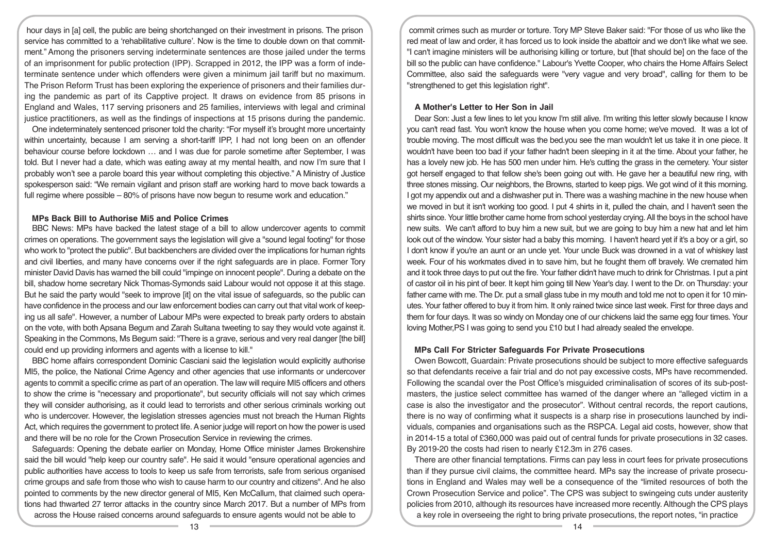hour days in [a] cell, the public are being shortchanged on their investment in prisons. The prison service has committed to a 'rehabilitative culture'. Now is the time to double down on that commitment." Among the prisoners serving indeterminate sentences are those jailed under the terms of an imprisonment for public protection (IPP). Scrapped in 2012, the IPP was a form of indeterminate sentence under which offenders were given a minimum jail tariff but no maximum. The Prison Reform Trust has been exploring the experience of prisoners and their families during the pandemic as part of its Capptive project. It draws on evidence from 85 prisons in England and Wales, 117 serving prisoners and 25 families, interviews with legal and criminal justice practitioners, as well as the findings of inspections at 15 prisons during the pandemic.

One indeterminately sentenced prisoner told the charity: "For myself it's brought more uncertainty within uncertainty, because I am serving a short-tariff IPP, I had not long been on an offender behaviour course before lockdown … and I was due for parole sometime after September, I was told. But I never had a date, which was eating away at my mental health, and now I'm sure that I probably won't see a parole board this year without completing this objective." A Ministry of Justice spokesperson said: "We remain vigilant and prison staff are working hard to move back towards a full regime where possible – 80% of prisons have now begun to resume work and education."

#### **MPs Back Bill to Authorise Mi5 and Police Crimes**

BBC News: MPs have backed the latest stage of a bill to allow undercover agents to commit crimes on operations. The government says the legislation will give a "sound legal footing" for those who work to "protect the public". But backbenchers are divided over the implications for human rights and civil liberties, and many have concerns over if the right safeguards are in place. Former Tory minister David Davis has warned the bill could "impinge on innocent people". During a debate on the bill, shadow home secretary Nick Thomas-Symonds said Labour would not oppose it at this stage. But he said the party would "seek to improve [it] on the vital issue of safeguards, so the public can have confidence in the process and our law enforcement bodies can carry out that vital work of keeping us all safe". However, a number of Labour MPs were expected to break party orders to abstain on the vote, with both Apsana Begum and Zarah Sultana tweeting to say they would vote against it. Speaking in the Commons, Ms Begum said: "There is a grave, serious and very real danger [the bill] could end up providing informers and agents with a license to kill."

BBC home affairs correspondent Dominic Casciani said the legislation would explicitly authorise MI5, the police, the National Crime Agency and other agencies that use informants or undercover agents to commit a specific crime as part of an operation. The law will require MI5 officers and others to show the crime is "necessary and proportionate", but security officials will not say which crimes they will consider authorising, as it could lead to terrorists and other serious criminals working out who is undercover. However, the legislation stresses agencies must not breach the Human Rights Act, which requires the government to protect life. A senior judge will report on how the power is used and there will be no role for the Crown Prosecution Service in reviewing the crimes.

Safeguards: Opening the debate earlier on Monday, Home Office minister James Brokenshire said the bill would "help keep our country safe". He said it would "ensure operational agencies and public authorities have access to tools to keep us safe from terrorists, safe from serious organised crime groups and safe from those who wish to cause harm to our country and citizens". And he also pointed to comments by the new director general of MI5, Ken McCallum, that claimed such operations had thwarted 27 terror attacks in the country since March 2017. But a number of MPs from across the House raised concerns around safeguards to ensure agents would not be able to

commit crimes such as murder or torture. Tory MP Steve Baker said: "For those of us who like the red meat of law and order, it has forced us to look inside the abattoir and we don't like what we see. "I can't imagine ministers will be authorising killing or torture, but [that should be] on the face of the bill so the public can have confidence." Labour's Yvette Cooper, who chairs the Home Affairs Select Committee, also said the safeguards were "very vague and very broad", calling for them to be "strengthened to get this legislation right".

## **A Mother's Letter to Her Son in Jail**

Dear Son: Just a few lines to let you know I'm still alive. I'm writing this letter slowly because I know you can't read fast. You won't know the house when you come home; we've moved. It was a lot of trouble moving. The most difficult was the bed.you see the man wouldn't let us take it in one piece. It wouldn't have been too bad if your father hadn't been sleeping in it at the time. About your father, he has a lovely new job. He has 500 men under him. He's cutting the grass in the cemetery. Your sister got herself engaged to that fellow she's been going out with. He gave her a beautiful new ring, with three stones missing. Our neighbors, the Browns, started to keep pigs. We got wind of it this morning. I got my appendix out and a dishwasher put in. There was a washing machine in the new house when we moved in but it isn't working too good. I put 4 shirts in it, pulled the chain, and I haven't seen the shirts since. Your little brother came home from school yesterday crying. All the boys in the school have new suits. We can't afford to buy him a new suit, but we are going to buy him a new hat and let him look out of the window. Your sister had a baby this morning. I haven't heard yet if it's a boy or a girl, so I don't know if you're an aunt or an uncle yet. Your uncle Buck was drowned in a vat of whiskey last week. Four of his workmates dived in to save him, but he fought them off bravely. We cremated him and it took three days to put out the fire. Your father didn't have much to drink for Christmas. I put a pint of castor oil in his pint of beer. It kept him going till New Year's day. I went to the Dr. on Thursday: your father came with me. The Dr. put a small glass tube in my mouth and told me not to open it for 10 minutes. Your father offered to buy it from him. It only rained twice since last week. First for three days and them for four days. It was so windy on Monday one of our chickens laid the same egg four times. Your loving Mother,PS I was going to send you £10 but I had already sealed the envelope.

## **MPs Call For Stricter Safeguards For Private Prosecutions**

Owen Bowcott, Guardain: Private prosecutions should be subject to more effective safeguards so that defendants receive a fair trial and do not pay excessive costs, MPs have recommended. Following the scandal over the Post Office's misguided criminalisation of scores of its sub-postmasters, the justice select committee has warned of the danger where an "alleged victim in a case is also the investigator and the prosecutor". Without central records, the report cautions, there is no way of confirming what it suspects is a sharp rise in prosecutions launched by individuals, companies and organisations such as the RSPCA. Legal aid costs, however, show that in 2014-15 a total of £360,000 was paid out of central funds for private prosecutions in 32 cases. By 2019-20 the costs had risen to nearly £12.3m in 276 cases.

There are other financial temptations. Firms can pay less in court fees for private prosecutions than if they pursue civil claims, the committee heard. MPs say the increase of private prosecutions in England and Wales may well be a consequence of the "limited resources of both the Crown Prosecution Service and police". The CPS was subject to swingeing cuts under austerity policies from 2010, although its resources have increased more recently. Although the CPS plays a key role in overseeing the right to bring private prosecutions, the report notes, "in practice